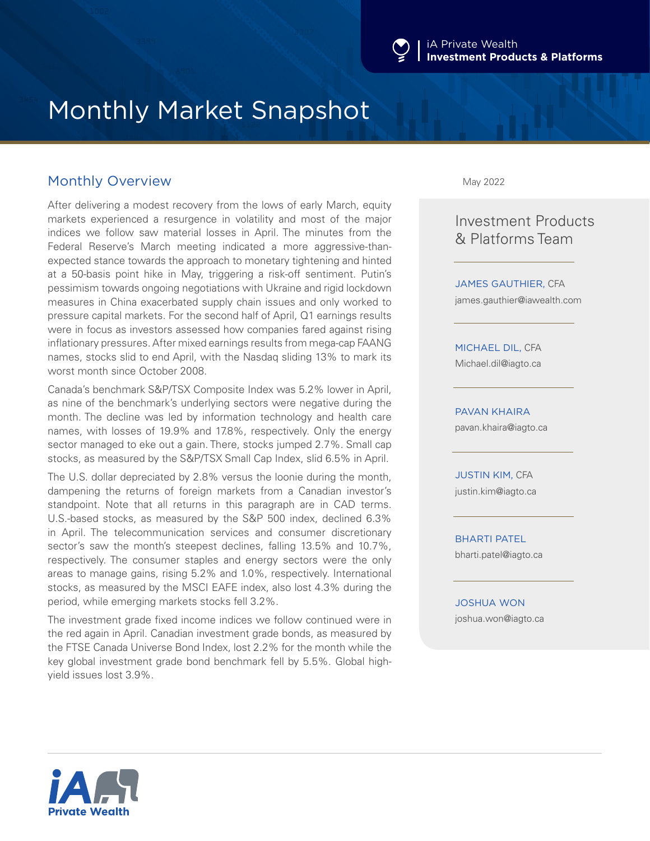

# Monthly Market Snapshot

# Monthly Overview

After delivering a modest recovery from the lows of early March, equity markets experienced a resurgence in volatility and most of the major indices we follow saw material losses in April. The minutes from the Federal Reserve's March meeting indicated a more aggressive-thanexpected stance towards the approach to monetary tightening and hinted at a 50-basis point hike in May, triggering a risk-off sentiment. Putin's pessimism towards ongoing negotiations with Ukraine and rigid lockdown measures in China exacerbated supply chain issues and only worked to pressure capital markets. For the second half of April, Q1 earnings results were in focus as investors assessed how companies fared against rising inflationary pressures. After mixed earnings results from mega-cap FAANG names, stocks slid to end April, with the Nasdaq sliding 13% to mark its worst month since October 2008.

Canada's benchmark S&P/TSX Composite Index was 5.2% lower in April, as nine of the benchmark's underlying sectors were negative during the month. The decline was led by information technology and health care names, with losses of 19.9% and 17.8%, respectively. Only the energy sector managed to eke out a gain. There, stocks jumped 2.7%. Small cap stocks, as measured by the S&P/TSX Small Cap Index, slid 6.5% in April.

The U.S. dollar depreciated by 2.8% versus the loonie during the month, dampening the returns of foreign markets from a Canadian investor's standpoint. Note that all returns in this paragraph are in CAD terms. U.S.-based stocks, as measured by the S&P 500 index, declined 6.3% in April. The telecommunication services and consumer discretionary sector's saw the month's steepest declines, falling 13.5% and 10.7%, respectively. The consumer staples and energy sectors were the only areas to manage gains, rising 5.2% and 1.0%, respectively. International stocks, as measured by the MSCI EAFE index, also lost 4.3% during the period, while emerging markets stocks fell 3.2%.

The investment grade fixed income indices we follow continued were in the red again in April. Canadian investment grade bonds, as measured by the FTSE Canada Universe Bond Index, lost 2.2% for the month while the key global investment grade bond benchmark fell by 5.5%. Global highyield issues lost 3.9%.

May 2022

# Investment Products & Platforms Team

JAMES GAUTHIER, CFA

james.gauthier@iawealth.com

MICHAEL DIL, CFA Michael.dil@iagto.ca

PAVAN KHAIRA pavan.khaira@iagto.ca

JUSTIN KIM, CFA justin.kim@iagto.ca

BHARTI PATEL bharti.patel@iagto.ca

JOSHUA WON joshua.won@iagto.ca

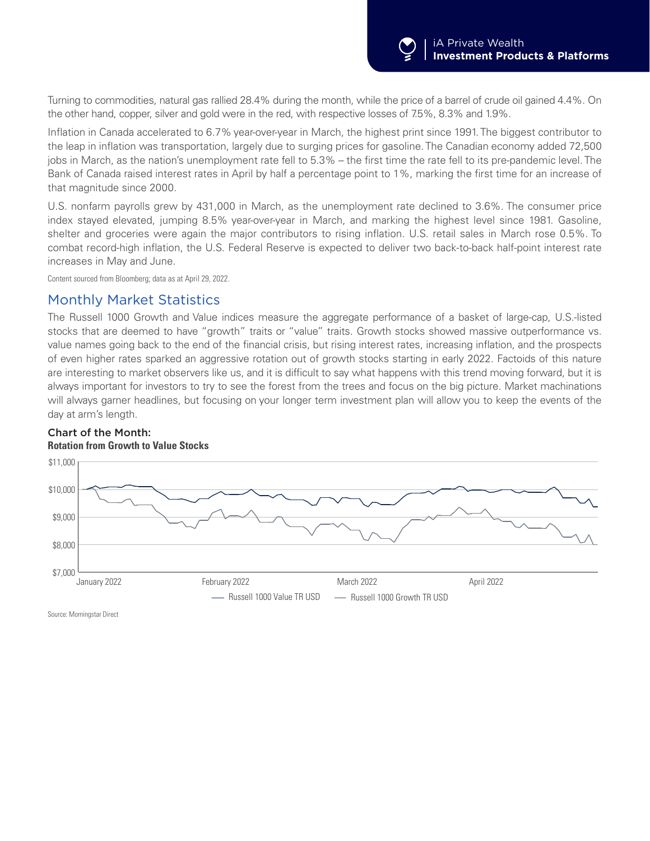

Turning to commodities, natural gas rallied 28.4% during the month, while the price of a barrel of crude oil gained 4.4%. On the other hand, copper, silver and gold were in the red, with respective losses of 7.5%, 8.3% and 1.9%.

Inflation in Canada accelerated to 6.7% year-over-year in March, the highest print since 1991. The biggest contributor to the leap in inflation was transportation, largely due to surging prices for gasoline. The Canadian economy added 72,500 jobs in March, as the nation's unemployment rate fell to 5.3% – the first time the rate fell to its pre-pandemic level. The Bank of Canada raised interest rates in April by half a percentage point to 1%, marking the first time for an increase of that magnitude since 2000.

U.S. nonfarm payrolls grew by 431,000 in March, as the unemployment rate declined to 3.6%. The consumer price index stayed elevated, jumping 8.5% year-over-year in March, and marking the highest level since 1981. Gasoline, shelter and groceries were again the major contributors to rising inflation. U.S. retail sales in March rose 0.5%. To combat record-high inflation, the U.S. Federal Reserve is expected to deliver two back-to-back half-point interest rate increases in May and June.

Content sourced from Bloomberg; data as at April 29, 2022.

# Monthly Market Statistics

The Russell 1000 Growth and Value indices measure the aggregate performance of a basket of large-cap, U.S.-listed stocks that are deemed to have "growth" traits or "value" traits. Growth stocks showed massive outperformance vs. value names going back to the end of the financial crisis, but rising interest rates, increasing inflation, and the prospects of even higher rates sparked an aggressive rotation out of growth stocks starting in early 2022. Factoids of this nature are interesting to market observers like us, and it is difficult to say what happens with this trend moving forward, but it is always important for investors to try to see the forest from the trees and focus on the big picture. Market machinations will always garner headlines, but focusing on your longer term investment plan will allow you to keep the events of the day at arm's length.

#### Chart of the Month: **Rotation from Growth to Value Stocks**



Source: Morningstar Direct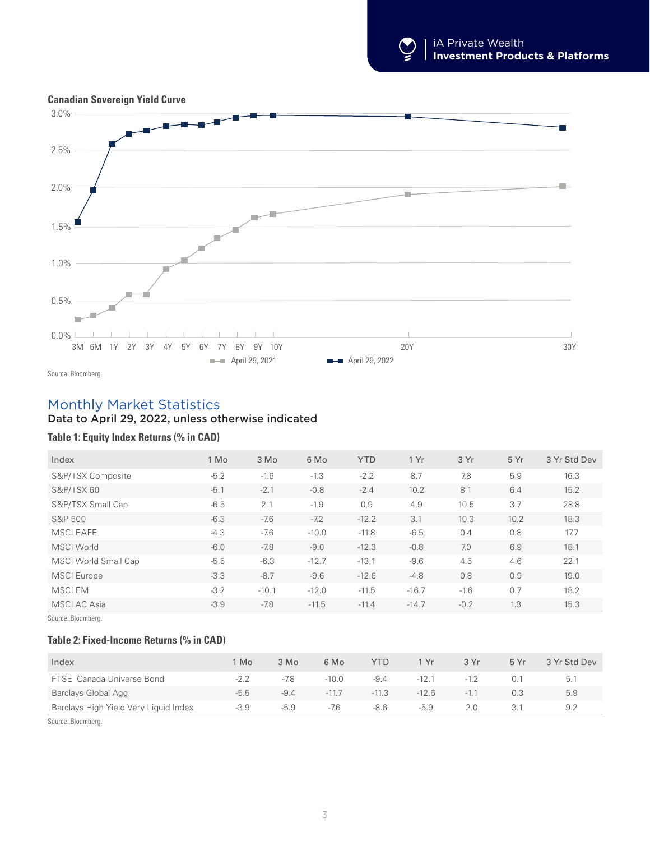



## Monthly Market Statistics Data to April 29, 2022, unless otherwise indicated

#### **Table 1: Equity Index Returns (% in CAD)**

| Index                | 1 Mo   | 3 Mo    | 6 Mo    | <b>YTD</b> | 1 Yr    | 3 Yr   | 5 Yr | 3 Yr Std Dev |
|----------------------|--------|---------|---------|------------|---------|--------|------|--------------|
| S&P/TSX Composite    | $-5.2$ | $-1.6$  | $-1.3$  | $-2.2$     | 8.7     | 7.8    | 5.9  | 16.3         |
| S&P/TSX 60           | $-5.1$ | $-2.1$  | $-0.8$  | $-2.4$     | 10.2    | 8.1    | 6.4  | 15.2         |
| S&P/TSX Small Cap    | $-6.5$ | 2.1     | $-1.9$  | 0.9        | 4.9     | 10.5   | 3.7  | 28.8         |
| S&P 500              | $-6.3$ | $-7.6$  | $-7.2$  | $-12.2$    | 3.1     | 10.3   | 10.2 | 18.3         |
| <b>MSCI EAFE</b>     | $-4.3$ | $-7.6$  | $-10.0$ | $-11.8$    | $-6.5$  | 0.4    | 0.8  | 17.7         |
| <b>MSCI</b> World    | $-6.0$ | $-7.8$  | $-9.0$  | $-12.3$    | $-0.8$  | 7.0    | 6.9  | 18.1         |
| MSCI World Small Cap | $-5.5$ | $-6.3$  | $-12.7$ | $-13.1$    | $-9.6$  | 4.5    | 4.6  | 22.1         |
| <b>MSCI</b> Europe   | $-3.3$ | $-8.7$  | $-9.6$  | $-12.6$    | $-4.8$  | 0.8    | 0.9  | 19.0         |
| <b>MSCLEM</b>        | $-3.2$ | $-10.1$ | $-12.0$ | $-11.5$    | $-16.7$ | $-1.6$ | 0.7  | 18.2         |
| <b>MSCI AC Asia</b>  | $-3.9$ | $-7.8$  | $-11.5$ | $-11.4$    | $-14.7$ | $-0.2$ | 1.3  | 15.3         |

Source: Bloomberg.

#### **Table 2: Fixed-Income Returns (% in CAD)**

| Index                                 | Mo N   | 3 Mo   | 6 Mo    | YTD     | 1 Yr    | 3 Yr  | 5 Yr | 3 Yr Std Dev |
|---------------------------------------|--------|--------|---------|---------|---------|-------|------|--------------|
| FTSE Canada Universe Bond             |        | $-7.8$ | $-10.0$ | -9.4    | $-12.1$ | $-12$ |      | -b.1         |
| Barclays Global Agg                   | -5.5   | $-9.4$ | $-11.7$ | $-11.3$ | $-12.6$ | $-11$ |      | 5.9          |
| Barclays High Yield Very Liquid Index | $-3.9$ | $-5.9$ | $-7.6$  | -8.6    | -5.9    | 2 O.  |      | 9.2          |

Source: Bloomberg.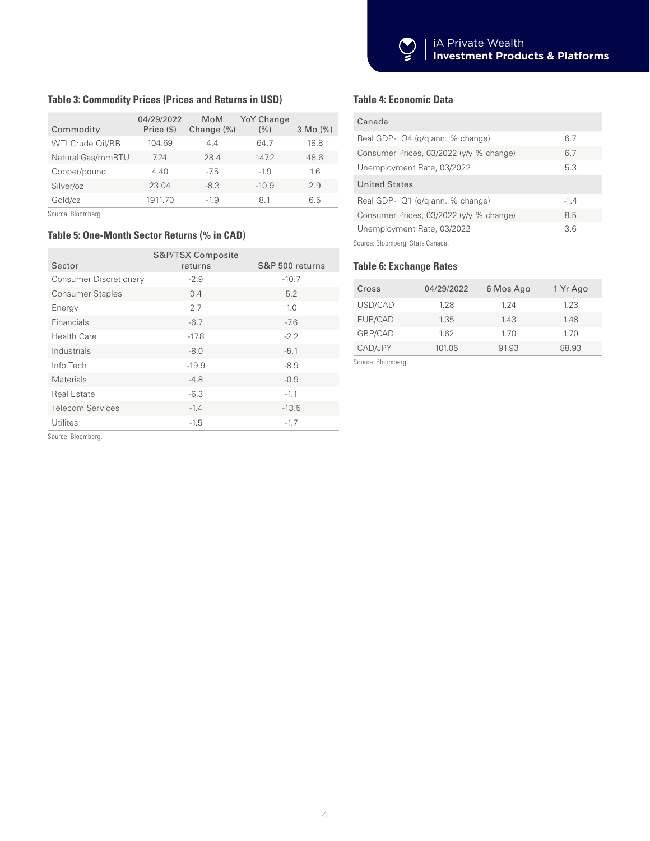

#### **Table 3: Commodity Prices (Prices and Returns in USD)**

| Commodity         | 04/29/2022<br>Price (\$) | <b>MoM</b><br>Change $(\%)$ | <b>YoY Change</b><br>(%) | $3 \text{Mo}$ (%) |
|-------------------|--------------------------|-----------------------------|--------------------------|-------------------|
| WTI Crude Oil/BBL | 104.69                   | 4.4                         | 64 7                     | 18.8              |
| Natural Gas/mmBTU | 724                      | 28.4                        | 147.2                    | 48.6              |
| Copper/pound      | 4.40                     | $-75$                       | $-1.9$                   | 1.6               |
| Silver/oz         | 23.04                    | $-8.3$                      | $-10.9$                  | 2.9               |
| Gold/oz           | 1911.70                  | $-1.9$                      | 81                       | 6.5               |

Source: Bloomberg.

# **Table 5: One-Month Sector Returns (% in CAD)**<br>Source: Bloomberg, Stats Canada.

| Sector                        | S&P/TSX Composite<br>returns | S&P 500 returns |
|-------------------------------|------------------------------|-----------------|
| <b>Consumer Discretionary</b> | $-2.9$                       | $-10.7$         |
| <b>Consumer Staples</b>       | 0.4                          | 5.2             |
| Energy                        | 2.7                          | 1.0             |
| Financials                    | $-6.7$                       | $-7.6$          |
| Health Care                   | $-17.8$                      | $-2.2$          |
| Industrials                   | $-8.0$                       | $-5.1$          |
| Info Tech                     | $-19.9$                      | $-8.9$          |
| <b>Materials</b>              | $-4.8$                       | $-0.9$          |
| <b>Real Estate</b>            | $-6.3$                       | $-1.1$          |
| <b>Telecom Services</b>       | $-1.4$                       | $-13.5$         |
| Utilites                      | $-1.5$                       | $-1.7$          |
| Source: Bloombera.            |                              |                 |

#### **Table 4: Economic Data**

| Canada                                  |       |
|-----------------------------------------|-------|
| Real GDP- Q4 (g/g ann. % change)        | 6.7   |
| Consumer Prices, 03/2022 (y/y % change) | 6.7   |
| Unemployment Rate, 03/2022              | 53    |
| <b>United States</b>                    |       |
| Real GDP- Q1 (g/g ann. % change)        | $-14$ |
| Consumer Prices, 03/2022 (y/y % change) | 8.5   |
| Unemployment Rate, 03/2022              | 3.6   |
| Course: Plaambarg State Canada          |       |

# **Table 6: Exchange Rates**

| Cross   | 04/29/2022 | 6 Mos Ago | 1 Yr Ago |
|---------|------------|-----------|----------|
| USD/CAD | 128        | 124       | 123      |
| EUR/CAD | 1.35       | 143       | 1.48     |
| GBP/CAD | 162        | 1.70      | 170      |
| CAD/JPY | 101.05     | 91.93     | 88.93    |

Source: Bloomberg.

Source: Bloomberg.